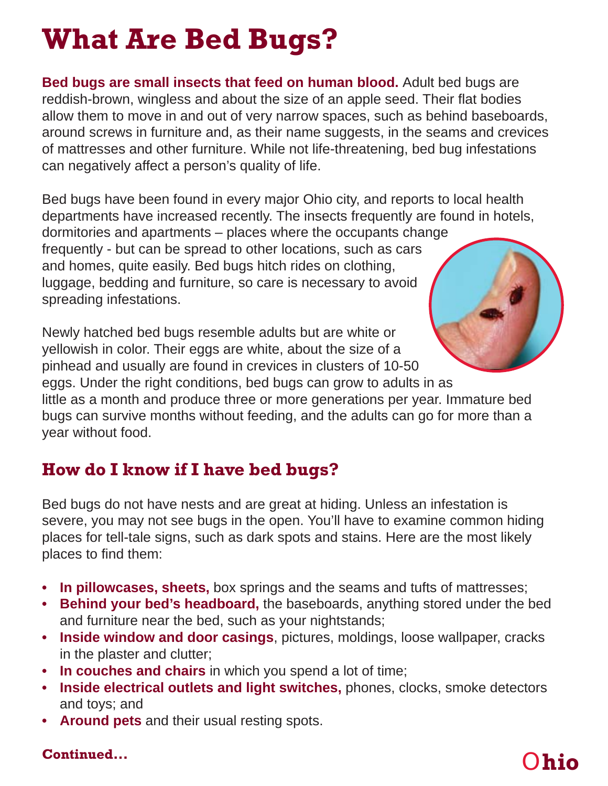# **What Are Bed Bugs?**

**Bed bugs are small insects that feed on human blood.** Adult bed bugs are reddish-brown, wingless and about the size of an apple seed. Their flat bodies allow them to move in and out of very narrow spaces, such as behind baseboards, around screws in furniture and, as their name suggests, in the seams and crevices of mattresses and other furniture. While not life-threatening, bed bug infestations can negatively affect a person's quality of life.

Bed bugs have been found in every major Ohio city, and reports to local health departments have increased recently. The insects frequently are found in hotels,

dormitories and apartments – places where the occupants change frequently - but can be spread to other locations, such as cars and homes, quite easily. Bed bugs hitch rides on clothing, luggage, bedding and furniture, so care is necessary to avoid spreading infestations.

Newly hatched bed bugs resemble adults but are white or yellowish in color. Their eggs are white, about the size of a pinhead and usually are found in crevices in clusters of 10-50

eggs. Under the right conditions, bed bugs can grow to adults in as little as a month and produce three or more generations per year. Immature bed bugs can survive months without feeding, and the adults can go for more than a year without food.

## **How do I know if I have bed bugs?**

Bed bugs do not have nests and are great at hiding. Unless an infestation is severe, you may not see bugs in the open. You'll have to examine common hiding places for tell-tale signs, such as dark spots and stains. Here are the most likely places to find them:

- **In pillowcases, sheets,** box springs and the seams and tufts of mattresses;
- **Behind your bed's headboard,** the baseboards, anything stored under the bed and furniture near the bed, such as your nightstands;
- **Inside window and door casings**, pictures, moldings, loose wallpaper, cracks in the plaster and clutter;
- **In couches and chairs** in which you spend a lot of time;
- **Inside electrical outlets and light switches,** phones, clocks, smoke detectors and toys; and
- **Around pets** and their usual resting spots.

#### **Continued...**

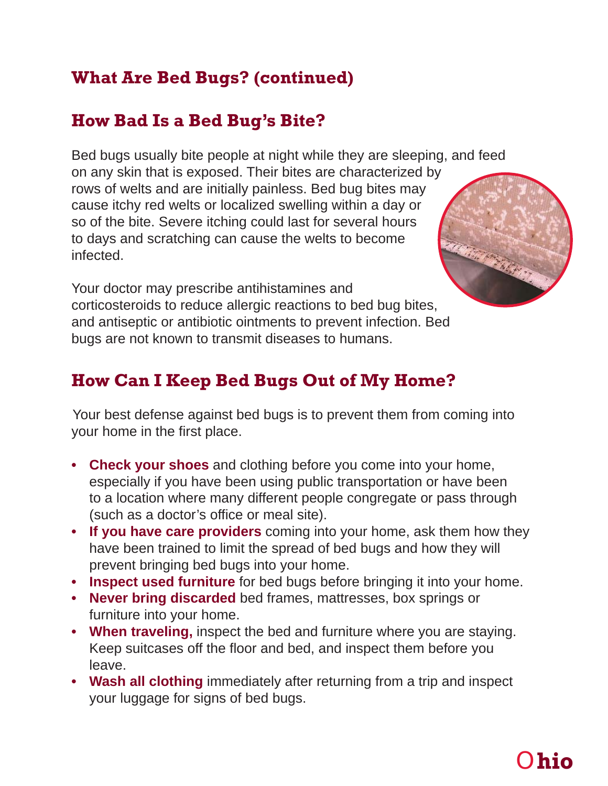## **What Are Bed Bugs? (continued)**

### **How Bad Is a Bed Bug's Bite?**

Bed bugs usually bite people at night while they are sleeping, and feed on any skin that is exposed. Their bites are characterized by rows of welts and are initially painless. Bed bug bites may cause itchy red welts or localized swelling within a day or so of the bite. Severe itching could last for several hours to days and scratching can cause the welts to become infected.



Your doctor may prescribe antihistamines and corticosteroids to reduce allergic reactions to bed bug bites, and antiseptic or antibiotic ointments to prevent infection. Bed bugs are not known to transmit diseases to humans.

## **How Can I Keep Bed Bugs Out of My Home?**

Your best defense against bed bugs is to prevent them from coming into your home in the first place.

- **Check your shoes** and clothing before you come into your home, especially if you have been using public transportation or have been to a location where many different people congregate or pass through (such as a doctor's office or meal site).
- **If you have care providers** coming into your home, ask them how they have been trained to limit the spread of bed bugs and how they will prevent bringing bed bugs into your home.
- **Inspect used furniture** for bed bugs before bringing it into your home.
- **Never bring discarded** bed frames, mattresses, box springs or furniture into your home.
- **When traveling,** inspect the bed and furniture where you are staying. Keep suitcases off the floor and bed, and inspect them before you leave.
- **Wash all clothing** immediately after returning from a trip and inspect your luggage for signs of bed bugs.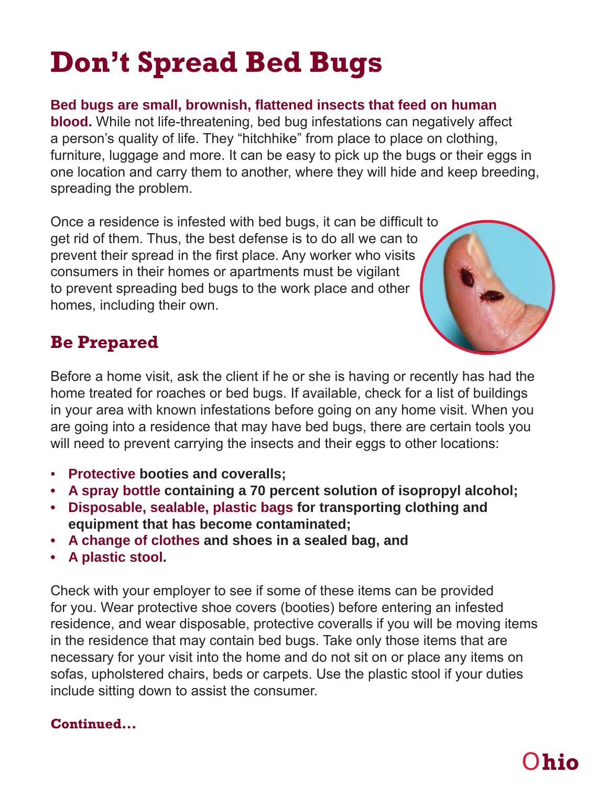# **Don't Spread Bed Bugs**

Bed bugs are small, brownish, flattened insects that feed on human

**blood.** While not life-threatening, bed bug infestations can negatively affect a person's quality of life. They "hitchhike" from place to place on clothing, furniture, luggage and more. It can be easy to pick up the bugs or their eggs in one location and carry them to another, where they will hide and keep breeding, spreading the problem.

Once a residence is infested with bed bugs, it can be difficult to get rid of them. Thus, the best defense is to do all we can to prevent their spread in the first place. Any worker who visits consumers in their homes or apartments must be vigilant to prevent spreading bed bugs to the work place and other homes, including their own.



## **Be Prepared**

Before a home visit, ask the client if he or she is having or recently has had the home treated for roaches or bed bugs. If available, check for a list of buildings in your area with known infestations before going on any home visit. When you are going into a residence that may have bed bugs, there are certain tools you will need to prevent carrying the insects and their eggs to other locations:

- **Protective booties and coveralls;**
- **A spray bottle containing a 70 percent solution of isopropyl alcohol;**
- **Disposable, sealable, plastic bags for transporting clothing and equipment that has become contaminated;**
- **A change of clothes and shoes in a sealed bag, and**
- **A plastic stool.**

Check with your employer to see if some of these items can be provided for you. Wear protective shoe covers (booties) before entering an infested residence, and wear disposable, protective coveralls if you will be moving items in the residence that may contain bed bugs. Take only those items that are necessary for your visit into the home and do not sit on or place any items on sofas, upholstered chairs, beds or carpets. Use the plastic stool if your duties include sitting down to assist the consumer.

#### **Continued...**

## O**hio**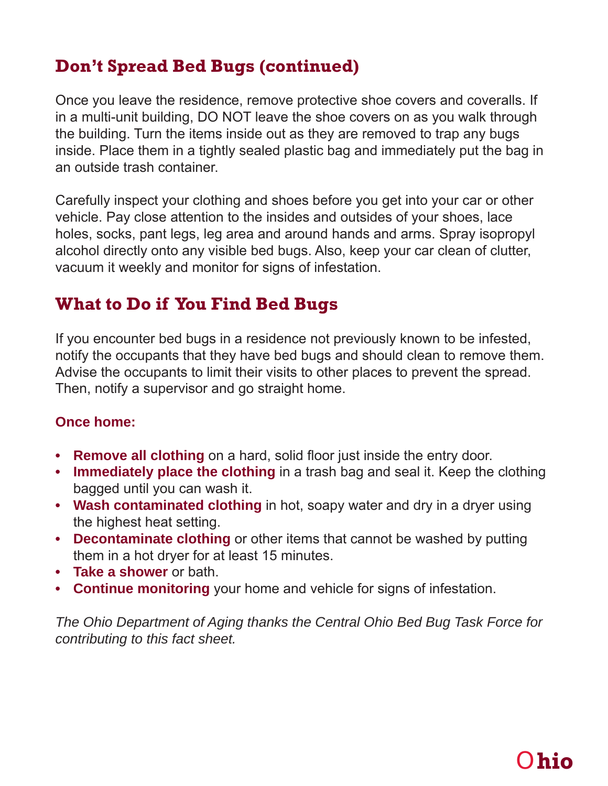## **Don't Spread Bed Bugs (continued)**

Once you leave the residence, remove protective shoe covers and coveralls. If in a multi-unit building, DO NOT leave the shoe covers on as you walk through the building. Turn the items inside out as they are removed to trap any bugs inside. Place them in a tightly sealed plastic bag and immediately put the bag in an outside trash container.

Carefully inspect your clothing and shoes before you get into your car or other vehicle. Pay close attention to the insides and outsides of your shoes, lace holes, socks, pant legs, leg area and around hands and arms. Spray isopropyl alcohol directly onto any visible bed bugs. Also, keep your car clean of clutter, vacuum it weekly and monitor for signs of infestation.

#### **What to Do if You Find Bed Bugs**

If you encounter bed bugs in a residence not previously known to be infested, notify the occupants that they have bed bugs and should clean to remove them. Advise the occupants to limit their visits to other places to prevent the spread. Then, notify a supervisor and go straight home.

#### **Once home:**

- **Remove all clothing** on a hard, solid floor just inside the entry door.
- **Immediately place the clothing** in a trash bag and seal it. Keep the clothing bagged until you can wash it.
- **Wash contaminated clothing** in hot, soapy water and dry in a dryer using the highest heat setting.
- **Decontaminate clothing** or other items that cannot be washed by putting them in a hot dryer for at least 15 minutes.
- **Take a shower** or bath.
- **Continue monitoring** your home and vehicle for signs of infestation.

*The Ohio Department of Aging thanks the Central Ohio Bed Bug Task Force for contributing to this fact sheet.*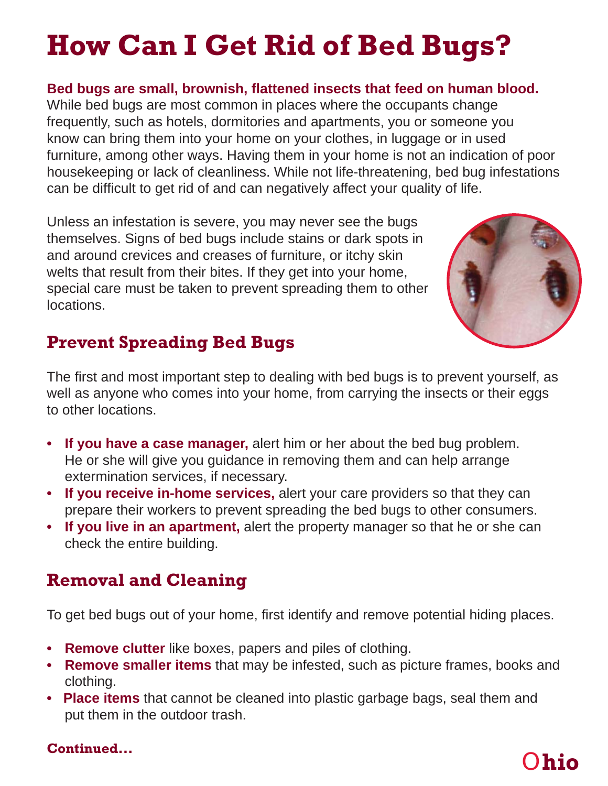# **How Can I Get Rid of Bed Bugs?**

#### Bed bugs are small, brownish, flattened insects that feed on human blood.

While bed bugs are most common in places where the occupants change frequently, such as hotels, dormitories and apartments, you or someone you know can bring them into your home on your clothes, in luggage or in used furniture, among other ways. Having them in your home is not an indication of poor housekeeping or lack of cleanliness. While not life-threatening, bed bug infestations can be difficult to get rid of and can negatively affect your quality of life.

Unless an infestation is severe, you may never see the bugs themselves. Signs of bed bugs include stains or dark spots in and around crevices and creases of furniture, or itchy skin welts that result from their bites. If they get into your home, special care must be taken to prevent spreading them to other locations.



## **Prevent Spreading Bed Bugs**

The first and most important step to dealing with bed bugs is to prevent yourself, as well as anyone who comes into your home, from carrying the insects or their eggs to other locations.

- **If you have a case manager,** alert him or her about the bed bug problem. He or she will give you guidance in removing them and can help arrange extermination services, if necessary.
- **If you receive in-home services,** alert your care providers so that they can prepare their workers to prevent spreading the bed bugs to other consumers.
- **If you live in an apartment,** alert the property manager so that he or she can check the entire building.

### **Removal and Cleaning**

To get bed bugs out of your home, first identify and remove potential hiding places.

- **Remove clutter** like boxes, papers and piles of clothing.
- **Remove smaller items** that may be infested, such as picture frames, books and clothing.
- **Place items** that cannot be cleaned into plastic garbage bags, seal them and put them in the outdoor trash.

#### **Continued...**

## O**hio**